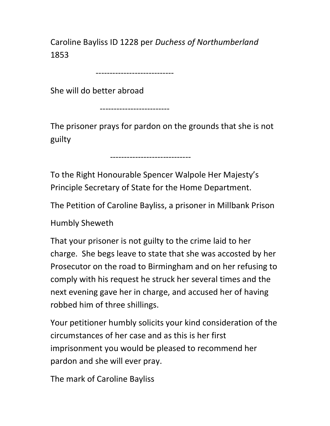Caroline Bayliss ID 1228 per Duchess of Northumberland 1853

----------------------------

She will do better abroad

-------------------------

The prisoner prays for pardon on the grounds that she is not guilty

-----------------------------

To the Right Honourable Spencer Walpole Her Majesty's Principle Secretary of State for the Home Department.

The Petition of Caroline Bayliss, a prisoner in Millbank Prison

Humbly Sheweth

That your prisoner is not guilty to the crime laid to her charge. She begs leave to state that she was accosted by her Prosecutor on the road to Birmingham and on her refusing to comply with his request he struck her several times and the next evening gave her in charge, and accused her of having robbed him of three shillings.

Your petitioner humbly solicits your kind consideration of the circumstances of her case and as this is her first imprisonment you would be pleased to recommend her pardon and she will ever pray.

The mark of Caroline Bayliss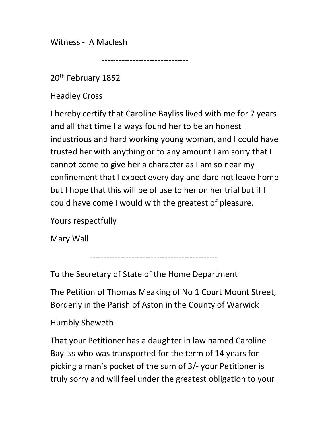Witness - A Maclesh

-------------------------------

20<sup>th</sup> February 1852

Headley Cross

I hereby certify that Caroline Bayliss lived with me for 7 years and all that time I always found her to be an honest industrious and hard working young woman, and I could have trusted her with anything or to any amount I am sorry that I cannot come to give her a character as I am so near my confinement that I expect every day and dare not leave home but I hope that this will be of use to her on her trial but if I could have come I would with the greatest of pleasure.

Yours respectfully

Mary Wall

----------------------------------------------

To the Secretary of State of the Home Department

The Petition of Thomas Meaking of No 1 Court Mount Street, Borderly in the Parish of Aston in the County of Warwick

## Humbly Sheweth

That your Petitioner has a daughter in law named Caroline Bayliss who was transported for the term of 14 years for picking a man's pocket of the sum of 3/- your Petitioner is truly sorry and will feel under the greatest obligation to your